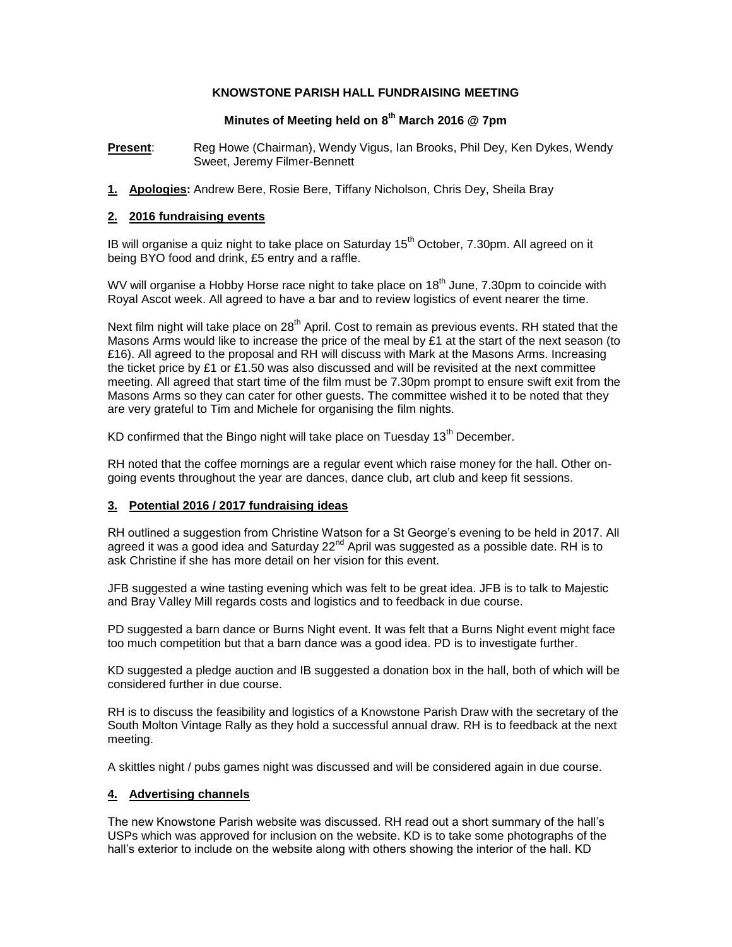#### **KNOWSTONE PARISH HALL FUNDRAISING MEETING**

### **Minutes of Meeting held on 8 th March 2016 @ 7pm**

**Present**: Reg Howe (Chairman), Wendy Vigus, Ian Brooks, Phil Dey, Ken Dykes, Wendy Sweet, Jeremy Filmer-Bennett

**1. Apologies:** Andrew Bere, Rosie Bere, Tiffany Nicholson, Chris Dey, Sheila Bray

#### **2. 2016 fundraising events**

IB will organise a quiz night to take place on Saturday  $15<sup>th</sup>$  October, 7.30pm. All agreed on it being BYO food and drink, £5 entry and a raffle.

WV will organise a Hobby Horse race night to take place on  $18<sup>th</sup>$  June, 7.30pm to coincide with Royal Ascot week. All agreed to have a bar and to review logistics of event nearer the time.

Next film night will take place on 28<sup>th</sup> April. Cost to remain as previous events. RH stated that the Masons Arms would like to increase the price of the meal by £1 at the start of the next season (to £16). All agreed to the proposal and RH will discuss with Mark at the Masons Arms. Increasing the ticket price by £1 or £1.50 was also discussed and will be revisited at the next committee meeting. All agreed that start time of the film must be 7.30pm prompt to ensure swift exit from the Masons Arms so they can cater for other guests. The committee wished it to be noted that they are very grateful to Tim and Michele for organising the film nights.

KD confirmed that the Bingo night will take place on Tuesday  $13<sup>th</sup>$  December.

RH noted that the coffee mornings are a regular event which raise money for the hall. Other ongoing events throughout the year are dances, dance club, art club and keep fit sessions.

### **3. Potential 2016 / 2017 fundraising ideas**

RH outlined a suggestion from Christine Watson for a St George's evening to be held in 2017. All agreed it was a good idea and Saturday  $22^{nd}$  April was suggested as a possible date. RH is to ask Christine if she has more detail on her vision for this event.

JFB suggested a wine tasting evening which was felt to be great idea. JFB is to talk to Majestic and Bray Valley Mill regards costs and logistics and to feedback in due course.

PD suggested a barn dance or Burns Night event. It was felt that a Burns Night event might face too much competition but that a barn dance was a good idea. PD is to investigate further.

KD suggested a pledge auction and IB suggested a donation box in the hall, both of which will be considered further in due course.

RH is to discuss the feasibility and logistics of a Knowstone Parish Draw with the secretary of the South Molton Vintage Rally as they hold a successful annual draw. RH is to feedback at the next meeting.

A skittles night / pubs games night was discussed and will be considered again in due course.

### **4. Advertising channels**

The new Knowstone Parish website was discussed. RH read out a short summary of the hall's USPs which was approved for inclusion on the website. KD is to take some photographs of the hall's exterior to include on the website along with others showing the interior of the hall. KD